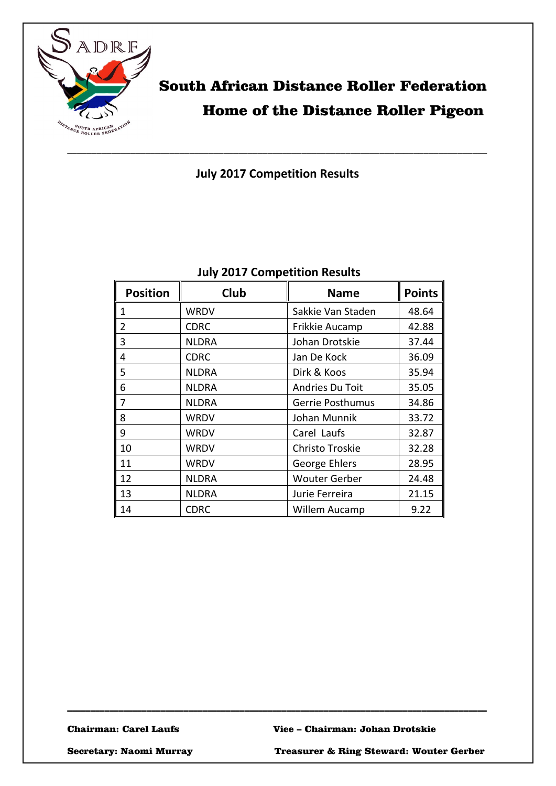

## South African Distance Roller Federation Home of the Distance Roller Pigeon

**July 2017 Competition Results**

| <b>Position</b> | <b>Club</b>  | <b>Name</b>             | <b>Points</b> |
|-----------------|--------------|-------------------------|---------------|
| 1               | <b>WRDV</b>  | Sakkie Van Staden       | 48.64         |
| 2               | <b>CDRC</b>  | Frikkie Aucamp          | 42.88         |
| 3               | <b>NLDRA</b> | Johan Drotskie          | 37.44         |
| 4               | <b>CDRC</b>  | Jan De Kock             | 36.09         |
| 5               | <b>NLDRA</b> | Dirk & Koos             | 35.94         |
| 6               | <b>NLDRA</b> | Andries Du Toit         | 35.05         |
| 7               | <b>NLDRA</b> | <b>Gerrie Posthumus</b> | 34.86         |
| 8               | WRDV         | Johan Munnik            | 33.72         |
| 9               | WRDV         | Carel Laufs             | 32.87         |
| 10              | WRDV         | Christo Troskie         | 32.28         |
| 11              | WRDV         | George Ehlers           | 28.95         |
| 12              | <b>NLDRA</b> | <b>Wouter Gerber</b>    | 24.48         |
| 13              | <b>NLDRA</b> | Jurie Ferreira          | 21.15         |
| 14              | <b>CDRC</b>  | Willem Aucamp           | 9.22          |

\_\_\_\_\_\_\_\_\_\_\_\_\_\_\_\_\_\_\_\_\_\_\_\_\_\_\_\_\_\_\_\_\_\_\_\_\_\_\_\_\_\_\_\_\_\_\_\_\_\_\_\_\_\_\_\_\_\_\_\_\_\_\_\_\_\_\_\_\_\_\_\_\_\_\_\_\_\_\_\_\_\_\_\_\_\_\_\_\_\_

### **July 2017 Competition Results**

Secretary: Naomi Murray Treasurer & Ring Steward: Wouter Gerber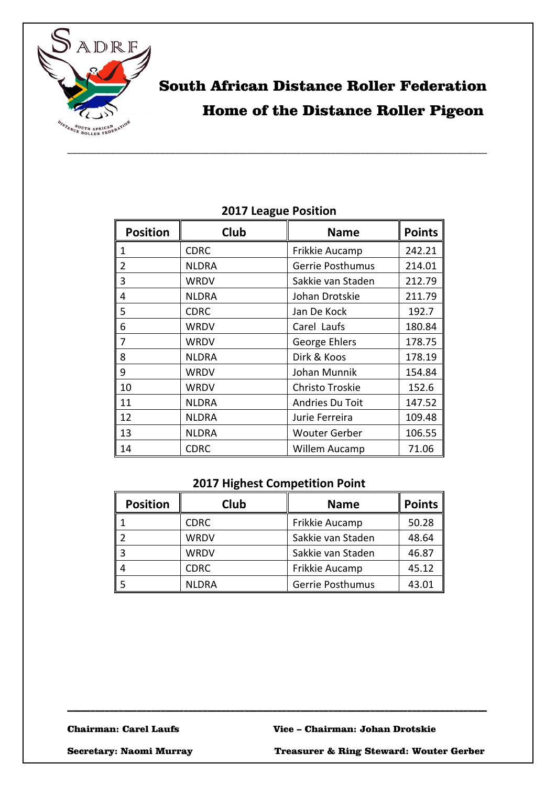

## South African Distance Roller Federation Home of the Distance Roller Pigeon

| <b>Position</b> | Club         | <b>Name</b>             | <b>Points</b> |
|-----------------|--------------|-------------------------|---------------|
| 1               | <b>CDRC</b>  | Frikkie Aucamp          | 242.21        |
| 2               | <b>NLDRA</b> | <b>Gerrie Posthumus</b> | 214.01        |
| 3               | WRDV         | Sakkie van Staden       | 212.79        |
| 4               | <b>NLDRA</b> | Johan Drotskie          | 211.79        |
| 5               | <b>CDRC</b>  | Jan De Kock             | 192.7         |
| 6               | WRDV         | Carel Laufs             | 180.84        |
| 7               | WRDV         | George Ehlers           | 178.75        |
| 8               | <b>NLDRA</b> | Dirk & Koos             | 178.19        |
| 9               | WRDV         | Johan Munnik            | 154.84        |
| 10              | WRDV         | Christo Troskie         | 152.6         |
| 11              | <b>NLDRA</b> | Andries Du Toit         | 147.52        |
| 12              | <b>NLDRA</b> | Jurie Ferreira          | 109.48        |
| 13              | <b>NLDRA</b> | <b>Wouter Gerber</b>    | 106.55        |
| 14              | <b>CDRC</b>  | Willem Aucamp           | 71.06         |

### **2017 League Position**

#### **2017 Highest Competition Point**

| <b>Position</b> | Club        | <b>Name</b>             | <b>Points</b> |
|-----------------|-------------|-------------------------|---------------|
|                 | <b>CDRC</b> | Frikkie Aucamp          | 50.28         |
|                 | WRDV        | Sakkie van Staden       | 48.64         |
|                 | WRDV        | Sakkie van Staden       | 46.87         |
|                 | CDRC        | Frikkie Aucamp          | 45.12         |
|                 | NLDRA       | <b>Gerrie Posthumus</b> | 43.01         |

\_\_\_\_\_\_\_\_\_\_\_\_\_\_\_\_\_\_\_\_\_\_\_\_\_\_\_\_\_\_\_\_\_\_\_\_\_\_\_\_\_\_\_\_\_\_\_\_\_\_\_\_\_\_\_\_\_\_\_\_\_\_\_\_\_\_\_\_\_\_\_\_\_\_\_\_\_\_\_\_\_\_\_\_\_\_\_\_\_\_

Secretary: Naomi Murray Treasurer & Ring Steward: Wouter Gerber